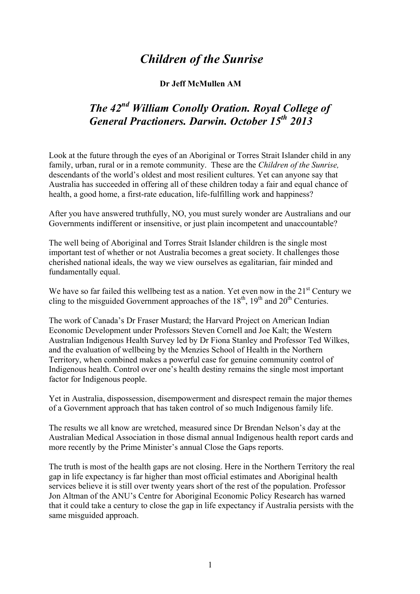## *Children of the Sunrise*

## **Dr Jeff McMullen AM**

## *The 42nd William Conolly Oration. Royal College of General Practioners. Darwin. October 15th 2013*

Look at the future through the eyes of an Aboriginal or Torres Strait Islander child in any family, urban, rural or in a remote community. These are the *Children of the Sunrise,*  descendants of the world's oldest and most resilient cultures. Yet can anyone say that Australia has succeeded in offering all of these children today a fair and equal chance of health, a good home, a first-rate education, life-fulfilling work and happiness?

After you have answered truthfully, NO, you must surely wonder are Australians and our Governments indifferent or insensitive, or just plain incompetent and unaccountable?

The well being of Aboriginal and Torres Strait Islander children is the single most important test of whether or not Australia becomes a great society. It challenges those cherished national ideals, the way we view ourselves as egalitarian, fair minded and fundamentally equal.

We have so far failed this wellbeing test as a nation. Yet even now in the  $21<sup>st</sup>$  Century we cling to the misguided Government approaches of the  $18<sup>th</sup>$ ,  $19<sup>th</sup>$  and  $20<sup>th</sup>$  Centuries.

The work of Canada's Dr Fraser Mustard; the Harvard Project on American Indian Economic Development under Professors Steven Cornell and Joe Kalt; the Western Australian Indigenous Health Survey led by Dr Fiona Stanley and Professor Ted Wilkes, and the evaluation of wellbeing by the Menzies School of Health in the Northern Territory, when combined makes a powerful case for genuine community control of Indigenous health. Control over one's health destiny remains the single most important factor for Indigenous people.

Yet in Australia, dispossession, disempowerment and disrespect remain the major themes of a Government approach that has taken control of so much Indigenous family life.

The results we all know are wretched, measured since Dr Brendan Nelson's day at the Australian Medical Association in those dismal annual Indigenous health report cards and more recently by the Prime Minister's annual Close the Gaps reports.

The truth is most of the health gaps are not closing. Here in the Northern Territory the real gap in life expectancy is far higher than most official estimates and Aboriginal health services believe it is still over twenty years short of the rest of the population. Professor Jon Altman of the ANU's Centre for Aboriginal Economic Policy Research has warned that it could take a century to close the gap in life expectancy if Australia persists with the same misguided approach.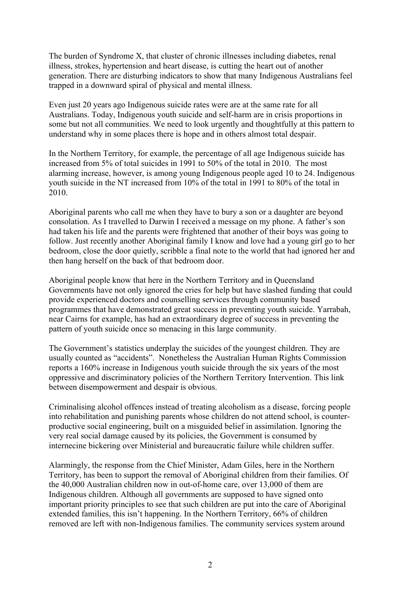The burden of Syndrome X, that cluster of chronic illnesses including diabetes, renal illness, strokes, hypertension and heart disease, is cutting the heart out of another generation. There are disturbing indicators to show that many Indigenous Australians feel trapped in a downward spiral of physical and mental illness.

Even just 20 years ago Indigenous suicide rates were are at the same rate for all Australians. Today, Indigenous youth suicide and self-harm are in crisis proportions in some but not all communities. We need to look urgently and thoughtfully at this pattern to understand why in some places there is hope and in others almost total despair.

In the Northern Territory, for example, the percentage of all age Indigenous suicide has increased from 5% of total suicides in 1991 to 50% of the total in 2010. The most alarming increase, however, is among young Indigenous people aged 10 to 24. Indigenous youth suicide in the NT increased from 10% of the total in 1991 to 80% of the total in 2010.

Aboriginal parents who call me when they have to bury a son or a daughter are beyond consolation. As I travelled to Darwin I received a message on my phone. A father's son had taken his life and the parents were frightened that another of their boys was going to follow. Just recently another Aboriginal family I know and love had a young girl go to her bedroom, close the door quietly, scribble a final note to the world that had ignored her and then hang herself on the back of that bedroom door.

Aboriginal people know that here in the Northern Territory and in Queensland Governments have not only ignored the cries for help but have slashed funding that could provide experienced doctors and counselling services through community based programmes that have demonstrated great success in preventing youth suicide. Yarrabah, near Cairns for example, has had an extraordinary degree of success in preventing the pattern of youth suicide once so menacing in this large community.

The Government's statistics underplay the suicides of the youngest children. They are usually counted as "accidents". Nonetheless the Australian Human Rights Commission reports a 160% increase in Indigenous youth suicide through the six years of the most oppressive and discriminatory policies of the Northern Territory Intervention. This link between disempowerment and despair is obvious.

Criminalising alcohol offences instead of treating alcoholism as a disease, forcing people into rehabilitation and punishing parents whose children do not attend school, is counterproductive social engineering, built on a misguided belief in assimilation. Ignoring the very real social damage caused by its policies, the Government is consumed by internecine bickering over Ministerial and bureaucratic failure while children suffer.

Alarmingly, the response from the Chief Minister, Adam Giles, here in the Northern Territory, has been to support the removal of Aboriginal children from their families. Of the 40,000 Australian children now in out-of-home care, over 13,000 of them are Indigenous children. Although all governments are supposed to have signed onto important priority principles to see that such children are put into the care of Aboriginal extended families, this isn't happening. In the Northern Territory, 66% of children removed are left with non-Indigenous families. The community services system around